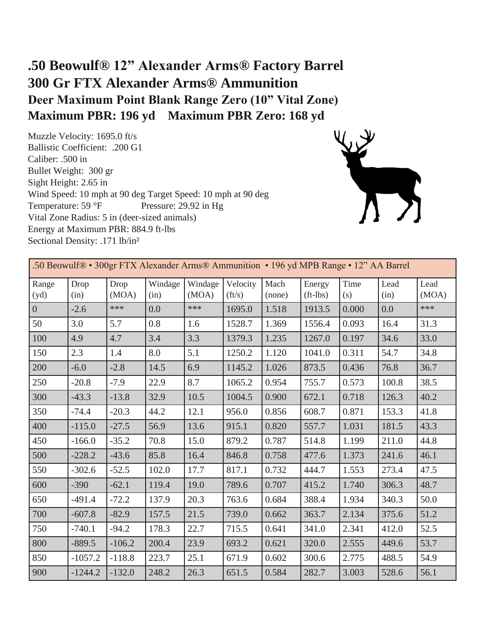## **.50 Beowulf® 12" Alexander Arms® Factory Barrel 300 Gr FTX Alexander Arms® Ammunition Deer Maximum Point Blank Range Zero (10" Vital Zone) Maximum PBR: 196 yd Maximum PBR Zero: 168 yd**

Muzzle Velocity: 1695.0 ft/s Ballistic Coefficient: .200 G1 Caliber: .500 in Bullet Weight: 300 gr Sight Height: 2.65 in Wind Speed: 10 mph at 90 deg Target Speed: 10 mph at 90 deg<br>Temperature: 59 °F Pressure: 29.92 in Hg Pressure:  $29.92$  in Hg Vital Zone Radius: 5 in (deer-sized animals) Energy at Maximum PBR: 884.9 ft-lbs Sectional Density: .171 lb/in²



| .50 Beowulf® • 300gr FTX Alexander Arms® Ammunition • 196 yd MPB Range • 12" AA Barrel |              |               |                 |                  |                    |                |                        |             |              |               |  |
|----------------------------------------------------------------------------------------|--------------|---------------|-----------------|------------------|--------------------|----------------|------------------------|-------------|--------------|---------------|--|
| Range<br>(yd)                                                                          | Drop<br>(in) | Drop<br>(MOA) | Windage<br>(in) | Windage<br>(MOA) | Velocity<br>(ft/s) | Mach<br>(none) | Energy<br>$(ft - lbs)$ | Time<br>(s) | Lead<br>(in) | Lead<br>(MOA) |  |
| $\theta$                                                                               | $-2.6$       | ***           | 0.0             | ***              | 1695.0             | 1.518          | 1913.5                 | 0.000       | 0.0          | ***           |  |
| 50                                                                                     | 3.0          | 5.7           | 0.8             | 1.6              | 1528.7             | 1.369          | 1556.4                 | 0.093       | 16.4         | 31.3          |  |
| 100                                                                                    | 4.9          | 4.7           | 3.4             | 3.3              | 1379.3             | 1.235          | 1267.0                 | 0.197       | 34.6         | 33.0          |  |
| 150                                                                                    | 2.3          | 1.4           | 8.0             | 5.1              | 1250.2             | 1.120          | 1041.0                 | 0.311       | 54.7         | 34.8          |  |
| 200                                                                                    | $-6.0$       | $-2.8$        | 14.5            | 6.9              | 1145.2             | 1.026          | 873.5                  | 0.436       | 76.8         | 36.7          |  |
| 250                                                                                    | $-20.8$      | $-7.9$        | 22.9            | 8.7              | 1065.2             | 0.954          | 755.7                  | 0.573       | 100.8        | 38.5          |  |
| 300                                                                                    | $-43.3$      | $-13.8$       | 32.9            | 10.5             | 1004.5             | 0.900          | 672.1                  | 0.718       | 126.3        | 40.2          |  |
| 350                                                                                    | $-74.4$      | $-20.3$       | 44.2            | 12.1             | 956.0              | 0.856          | 608.7                  | 0.871       | 153.3        | 41.8          |  |
| 400                                                                                    | $-115.0$     | $-27.5$       | 56.9            | 13.6             | 915.1              | 0.820          | 557.7                  | 1.031       | 181.5        | 43.3          |  |
| 450                                                                                    | $-166.0$     | $-35.2$       | 70.8            | 15.0             | 879.2              | 0.787          | 514.8                  | 1.199       | 211.0        | 44.8          |  |
| 500                                                                                    | $-228.2$     | $-43.6$       | 85.8            | 16.4             | 846.8              | 0.758          | 477.6                  | 1.373       | 241.6        | 46.1          |  |
| 550                                                                                    | $-302.6$     | $-52.5$       | 102.0           | 17.7             | 817.1              | 0.732          | 444.7                  | 1.553       | 273.4        | 47.5          |  |
| 600                                                                                    | $-390$       | $-62.1$       | 119.4           | 19.0             | 789.6              | 0.707          | 415.2                  | 1.740       | 306.3        | 48.7          |  |
| 650                                                                                    | $-491.4$     | $-72.2$       | 137.9           | 20.3             | 763.6              | 0.684          | 388.4                  | 1.934       | 340.3        | 50.0          |  |
| 700                                                                                    | $-607.8$     | $-82.9$       | 157.5           | 21.5             | 739.0              | 0.662          | 363.7                  | 2.134       | 375.6        | 51.2          |  |
| 750                                                                                    | $-740.1$     | $-94.2$       | 178.3           | 22.7             | 715.5              | 0.641          | 341.0                  | 2.341       | 412.0        | 52.5          |  |
| 800                                                                                    | $-889.5$     | $-106.2$      | 200.4           | 23.9             | 693.2              | 0.621          | 320.0                  | 2.555       | 449.6        | 53.7          |  |
| 850                                                                                    | $-1057.2$    | $-118.8$      | 223.7           | 25.1             | 671.9              | 0.602          | 300.6                  | 2.775       | 488.5        | 54.9          |  |
| 900                                                                                    | $-1244.2$    | $-132.0$      | 248.2           | 26.3             | 651.5              | 0.584          | 282.7                  | 3.003       | 528.6        | 56.1          |  |